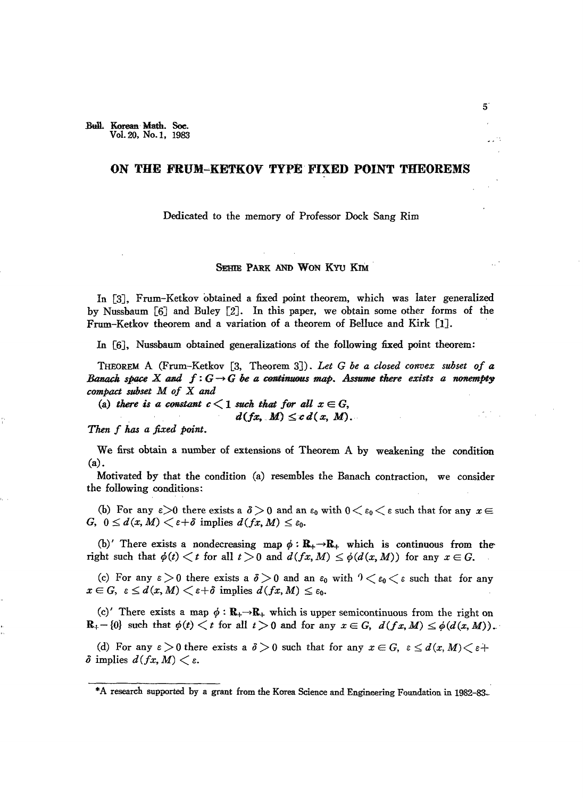## **ON THE FRUM--KETKOV TYPE FIXED POINT THEOREMS**

Dedicated to the memory of Professor Dock Sang Rim

## SEHIR PARK AND WON KYU KIM

In [3J, Frum-Ketkov obtained a fixed point theorem, which was later generalized by Nussbaum  $[6]$  and Buley  $[2]$ . In this paper, we obtain some other forms of the Frum-Ketkov theorem and a variation of a theorem of Belluce and Kirk [1].

In [6], Nussbaum obtained generalizations of the following fixed point theorem:

THEOREM A (Frum-Ketkov [3, Theorem 3J). *Let* G *be a closed convex subset of Banach space*  $X$  *and*  $f: G \rightarrow G$  be a continuous map. Assume there exists a nonempty *compact subset M of* X *and*

(a) there is a constant  $c < 1$  such that for all  $x \in G$ ,

 $d(fx, M) \leq c d(x, M)$ .

*Then* f *has a fixed point.*

We first obtain a number of extensions of Theorem A by weakening the condition (a).

Motivated by that the condition (a) resembles the Banach contraction, we consider the following conditions:

(b) For any  $\varepsilon > 0$  there exists a  $\delta > 0$  and an  $\varepsilon_0$  with  $0 < \varepsilon_0 < \varepsilon$  such that for any  $x \in$ G,  $0 \le d(x, M) < \varepsilon + \delta$  implies  $d(fx, M) \le \varepsilon_0$ .

(b)' There exists a nondecreasing map  $\phi: \mathbb{R}_+ \to \mathbb{R}_+$  which is continuous from theright such that  $\phi(t) \leq t$  for all  $t > 0$  and  $d(fx, M) \leq \phi(d(x, M))$  for any  $x \in G$ .

(c) For any  $\varepsilon > 0$  there exists a  $\delta > 0$  and an  $\varepsilon_0$  with  $0 < \varepsilon_0 < \varepsilon$  such that for any  $x \in G$ ,  $\varepsilon \leq d(x, M) < \varepsilon + \delta$  implies  $d(fx, M) \leq \varepsilon_0$ .

(c)' There exists a map  $\phi : \mathbb{R}_+ \to \mathbb{R}_+$  which is upper semicontinuous from the right on  $\mathbf{R}_{+}-\{0\}$  such that  $\phi(t) \leq t$  for all  $t>0$  and for any  $x \in G$ ,  $d(fx, M) \leq \phi(d(x, M))$ .

(d) For any  $\varepsilon > 0$  there exists a  $\delta > 0$  such that for any  $x \in G$ ,  $\varepsilon \leq d(x, M) < \varepsilon$ +  $\delta$  implies  $d(fx, M) < \varepsilon$ .

<sup>\*</sup>A research supported by a grant from the Korea Science and Engineering Foundation in 1982-83-'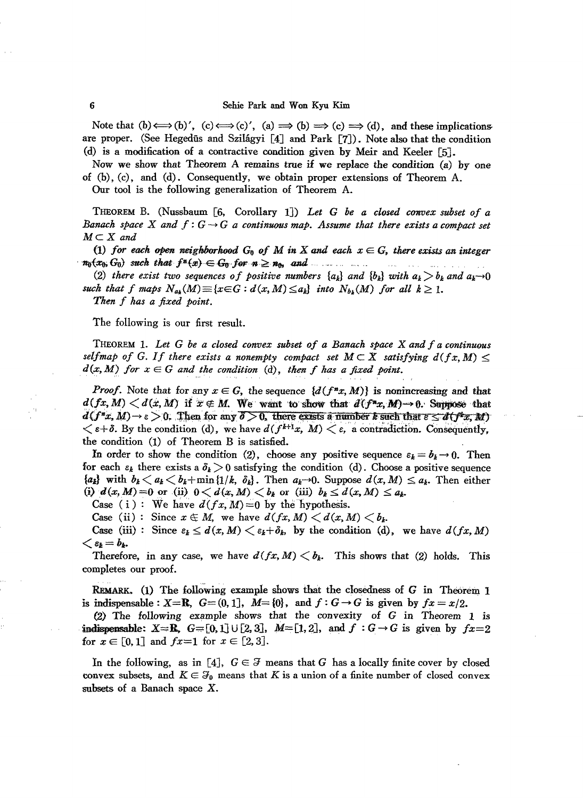Note that  $(b) \Longleftrightarrow (b)$ ',  $(c) \Longleftrightarrow (c)$ ',  $(a) \Longrightarrow (b) \Longrightarrow (c) \Longrightarrow (d)$ , and these implicationsare proper. (See Hegediis and Szilagyi [4J and Park [7J). Note also that the condition (d) is a modification of a contractive condition given by Meir and Keeler [5J.

Now we show that Theorem A remains true if we replace the condition  $(a)$  by one of (b), (c), and (d). Consequently, we obtain proper extensions of Theorem A.

Our tool is the following generalization of Theorem A.

THEOREM B. (Nussbaum [6, Corollary 1]) Let G be a closed convex subset of a *Banach space* X *and*  $f: G \rightarrow G$  *a continuous map.* Assume that there exists a compact set  $M \subset X$  and

 $(1)$  *for each open neighborhood*  $G_0$  *of M in X and each*  $x \in G$ , *there exists an integer*  $n_0(x_0, G_0)$  *such that*  $f^x(x) \in G_0$  for  $n \ge n_0$ , and  $\ldots$ 

(2) there exist *two* sequences of positive numbers  $\{a_k\}$  *and*  $\{b_k\}$  *with*  $a_k > b_k$  *and*  $a_k \rightarrow 0$ such that *f* maps  $N_{a_k}(M) \equiv \{x \in G : d(x, M) \leq a_k\}$  into  $N_{b_k}(M)$  *for all*  $k \geq 1$ . *Then f has a fixed point.*

The following is our first result.

THEOREM 1- *Let* G *be a closed convex subset of a Banach space* X *and f a continuous selfmap of G. If there exists a nonempty compact set*  $M \subset X$  *satisfying*  $d(fx, M) \le$  $d(x, M)$  *for*  $x \in G$  *and the condition* (d), *then f has a fixed point.* 

*Proof.* Note that for any  $x \in G$ , the sequence  $\{d(f^nx, M)\}\$ is nonincreasing and that  $d(fx, M) < d(x, M)$  if  $x \notin M$ . We want to show that  $d(f^{*}x, M) \to 0$ . Suppose that  $d(f^*x, M) \to \varepsilon > 0$ . Then for any  $\delta > 0$ , there exists a number k such that  $\varepsilon \leq d(f^*x, M)$  $\langle \varepsilon + \delta.$  By the condition (d), we have  $d(f^{k+1}x, M) \leq \varepsilon$ , a contradiction. Consequently, the condition (1) of Theorem B is satisfied.

In order to show the condition (2), choose any positive sequence  $\varepsilon_k = b_k \rightarrow 0$ . Then for each  $\varepsilon_k$  there exists a  $\delta_k > 0$  satisfying the condition (d). Choose a positive sequence  ${a_k}$  with  $b_k < a_k < b_k + \min\{1/k, \delta_k\}$ . Then  $a_k \to 0$ . Suppose  $d(x, M) \leq a_k$ . Then either (i)  $d(x, M) = 0$  or (ii)  $0 < d(x, M) < b_k$  or (iii)  $b_k \leq d(x, M) \leq a_k$ .

Case (i): We have  $d(fx, M) = 0$  by the hypothesis.

Case (ii): Since  $x \in M$ , we have  $d(fx, M) < d(x, M) < b_k$ .

Case (iii): Since  $\varepsilon_k \leq d(x, M) \leq \varepsilon_k + \delta_k$ , by the condition (d), we have  $d(fx, M)$  $<\varepsilon_k=b_k.$ 

Therefore, in any case, we have  $d(fx, M) \leq b_k$ . This shows that (2) holds. This completes our proof.

REMARK. (1) The following example shows that the closedness of G in Theorem 1 is indispensable:  $X = \mathbb{R}$ ,  $G = (0, 1]$ ,  $M = \{0\}$ , and  $f : G \rightarrow G$  is given by  $fx = x/2$ .

(2) The following example shows that the convexity of *G* in Theorem 1 is indispensable:  $X = \mathbb{R}$ ,  $G = [0,1] \cup [2,3]$ ,  $M = [1,2]$ , and  $f : G \rightarrow G$  is given by  $f x = 2$ for  $x \in [0,1]$  and  $fx=1$  for  $x \in [2,3]$ .

In the following, as in [4],  $G \in \mathcal{F}$  means that G has a locally finite cover by closed convex subsets, and  $K \in \mathcal{F}_0$  means that K is a union of a finite number of closed convex subsets of a Banach space X.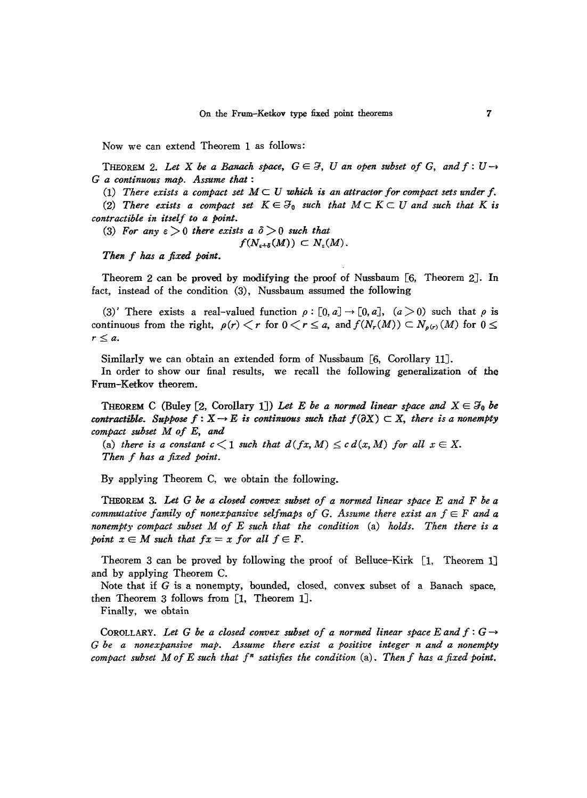Now we can extend Theorem 1 as follows:

THEOREM 2. Let X be a Banach space,  $G \in \mathcal{F}$ , U an open subset of G, and  $f: U \rightarrow$ G *a continuous map. Assume that* :

(1) There exists a compact set  $M \subset U$  which is an attractor for compact sets under f.

(2) There exists a compact set  $K \in \mathcal{F}_0$  such that  $M \subset K \subset U$  and such that K is *contractible in itself to a point.*

(3) For any  $\varepsilon > 0$  there exists a  $\delta > 0$  such that

 $f(N_{\varepsilon+\delta}(M)) \subset N_{\varepsilon}(M)$ .

*TheN f has a fixed point.*

Theorem 2 can be proved by modifying the proof of Nussbaum [6, Theorem 2J. In fact, instead of the condition (3), Nussbaum assumed the following

(3)' There exists a real-valued function  $\rho : [0, a] \rightarrow [0, a]$ ,  $(a > 0)$  such that  $\rho$  is continuous from the right,  $\rho(r) < r$  for  $0 < r \le a$ , and  $f(N_r(M)) \subset N_{\rho(r)}(M)$  for  $0 \le$  $r\leq a$ .

Similarly we can obtain an extended form of Nussbaum [6, Corollary 11J.

In order to show our final results, we recall the following generalization of the Frum-Ketkov theorem.

THEOREM C (Buley [2, Corollary 1]) Let E be a normed linear space and  $X \in \mathcal{F}_0$  be *contractible.* Suppose  $f: X \to E$  *is continuous such that*  $f(\partial X) \subset X$ , *there is a nonempty compact subset M of E, and*

(a) there is a constant  $c < 1$  such that  $d(fx, M) \leq c d(x, M)$  for all  $x \in X$ . *Then f has a fixed point.*

By applying Theorem C, we obtain the following.

THEoREM 3. *Let* G *be a closed C01l1}ex subset of a normed linear space E and F be a commutative* family of *nonexpansive selfmaps* of G. Assume there exist an  $f \in F$  and a *nonempt;y compact subset M of E such that the condition* (a) *holds. Then there is a point*  $x \in M$  *such* that  $fx = x$  *for* all  $f \in F$ .

Theorem 3 can be proved by following the proof of Belluce-Kirk [1, Theorem 1] and by applying Theorem C.

Note that if  $G$  is a nonempty, bounded, closed, convex subset of a Banach space, then Theorem 3 follows from [1, Theorem 1J.

Finally, we obtain

COROLLARY. Let G be a closed convex subset of a normed linear space E and  $f: G \rightarrow$ G *be a nonexpansive map. Assume there exist a positive integer n and a nonempty compact subset M of E such that f" satisfies the condition* (a). *Then f has a fixed point.*